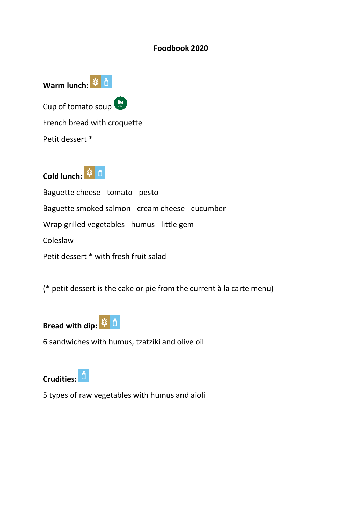#### **Foodbook 2020**



Cold lunch: <sup>第6</sup>

Baguette cheese - tomato - pesto Baguette smoked salmon - cream cheese - cucumber Wrap grilled vegetables - humus - little gem Coleslaw Petit dessert \* with fresh fruit salad

(\* petit dessert is the cake or pie from the current à la carte menu)



6 sandwiches with humus, tzatziki and olive oil



5 types of raw vegetables with humus and aioli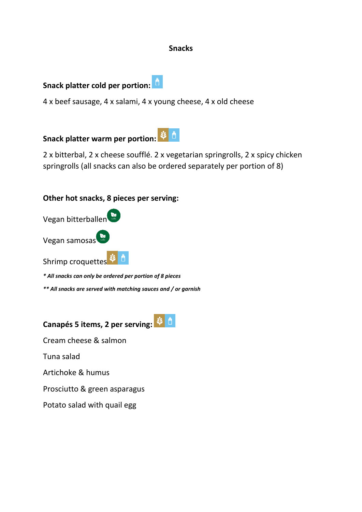#### **Snacks**

### **Snack platter cold per portion:**

4 x beef sausage, 4 x salami, 4 x young cheese, 4 x old cheese

**Snack platter warm per portion:**

2 x bitterbal, 2 x cheese soufflé. 2 x vegetarian springrolls, 2 x spicy chicken springrolls (all snacks can also be ordered separately per portion of 8)

### **Other hot snacks, 8 pieces per serving:**

| Vegan bitterballen |  |
|--------------------|--|
| Vegan samosas      |  |
| Shrimp croquettes  |  |

*\* All snacks can only be ordered per portion of 8 pieces*

*\*\* All snacks are served with matching sauces and / or garnish*

**Canapés 5 items, 2 per serving:**

Cream cheese & salmon

Tuna salad

Artichoke & humus

Prosciutto & green asparagus

Potato salad with quail egg

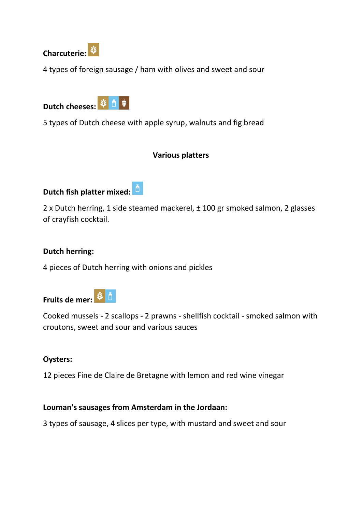

4 types of foreign sausage / ham with olives and sweet and sour



5 types of Dutch cheese with apple syrup, walnuts and fig bread

### **Various platters**

### **Dutch fish platter mixed:**

2 x Dutch herring, 1 side steamed mackerel, ± 100 gr smoked salmon, 2 glasses of crayfish cocktail.

#### **Dutch herring:**

4 pieces of Dutch herring with onions and pickles



Cooked mussels - 2 scallops - 2 prawns - shellfish cocktail - smoked salmon with croutons, sweet and sour and various sauces

#### **Oysters:**

12 pieces Fine de Claire de Bretagne with lemon and red wine vinegar

### **Louman's sausages from Amsterdam in the Jordaan:**

3 types of sausage, 4 slices per type, with mustard and sweet and sour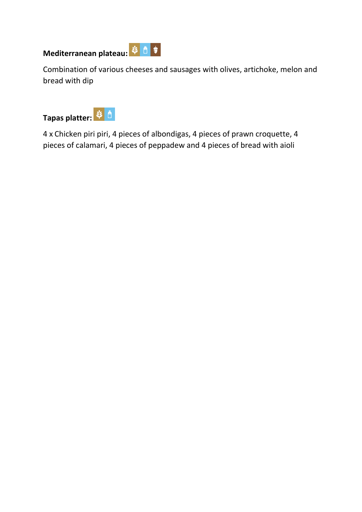# **Mediterranean plateau:** ジ 直 す



Combination of various cheeses and sausages with olives, artichoke, melon and bread with dip



4 x Chicken piri piri, 4 pieces of albondigas, 4 pieces of prawn croquette, 4 pieces of calamari, 4 pieces of peppadew and 4 pieces of bread with aioli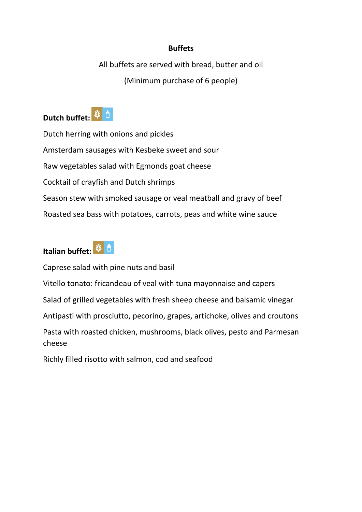### **Buffets**

All buffets are served with bread, butter and oil (Minimum purchase of 6 people)



Dutch herring with onions and pickles Amsterdam sausages with Kesbeke sweet and sour Raw vegetables salad with Egmonds goat cheese Cocktail of crayfish and Dutch shrimps Season stew with smoked sausage or veal meatball and gravy of beef Roasted sea bass with potatoes, carrots, peas and white wine sauce

# **Italian buffet:**

Caprese salad with pine nuts and basil

Vitello tonato: fricandeau of veal with tuna mayonnaise and capers

Salad of grilled vegetables with fresh sheep cheese and balsamic vinegar

Antipasti with prosciutto, pecorino, grapes, artichoke, olives and croutons

Pasta with roasted chicken, mushrooms, black olives, pesto and Parmesan cheese

Richly filled risotto with salmon, cod and seafood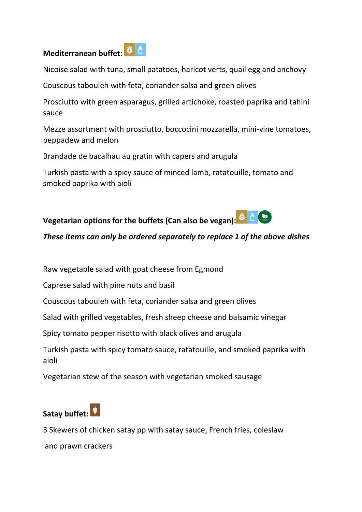### **Mediterranean buffet:**

Nicoise salad with tuna, small patatoes, haricot verts, quail egg and anchovy

Couscous tabouleh with feta, coriander salsa and green olives

Prosciutto with green asparagus, grilled artichoke, roasted paprika and tahini sauce

Mezze assortment with prosciutto, boccocini mozzarella, mini-vine tomatoes, peppadew and melon

Brandade de bacalhau au gratin with capers and arugula

Turkish pasta with a spicy sauce of minced lamb, ratatouille, tomato and smoked paprika with aioli



### *These items can only be ordered separately to replace 1 of the above dishes*

Raw vegetable salad with goat cheese from Egmond

Caprese salad with pine nuts and basil

Couscous tabouleh with feta, coriander salsa and green olives

Salad with grilled vegetables, fresh sheep cheese and balsamic vinegar

Spicy tomato pepper risotto with black olives and arugula

Turkish pasta with spicy tomato sauce, ratatouille, and smoked paprika with aioli

Vegetarian stew of the season with vegetarian smoked sausage

### **Satay buffet:**

3 Skewers of chicken satay pp with satay sauce, French fries, coleslaw and prawn crackers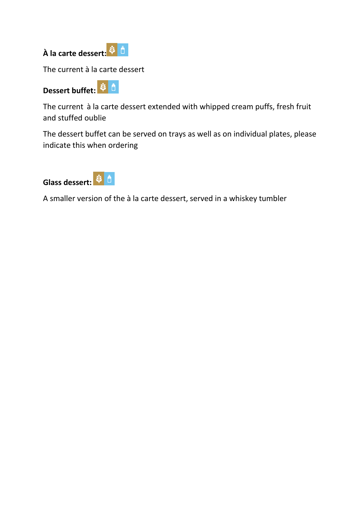

The current à la carte dessert

# **Dessert buffet:**

The current à la carte dessert extended with whipped cream puffs, fresh fruit and stuffed oublie

The dessert buffet can be served on trays as well as on individual plates, please indicate this when ordering



A smaller version of the à la carte dessert, served in a whiskey tumbler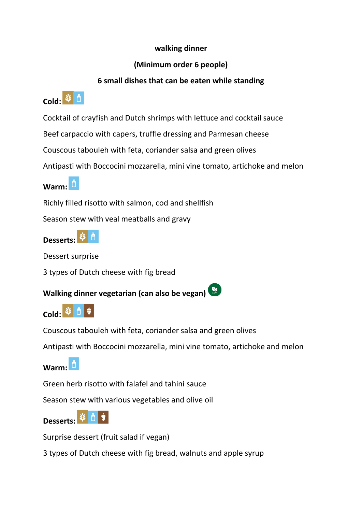### **walking dinner**

### **(Minimum order 6 people)**

### **6 small dishes that can be eaten while standing**

## **Cold: <sup>等自</sup>**

Cocktail of crayfish and Dutch shrimps with lettuce and cocktail sauce

Beef carpaccio with capers, truffle dressing and Parmesan cheese

Couscous tabouleh with feta, coriander salsa and green olives

Antipasti with Boccocini mozzarella, mini vine tomato, artichoke and melon

**Warm:**

Richly filled risotto with salmon, cod and shellfish

Season stew with veal meatballs and gravy

**Desserts:**  $\ddot{\mathsf{n}}$ 

Dessert surprise

3 types of Dutch cheese with fig bread

**Walking dinner vegetarian (can also be vegan)**



Couscous tabouleh with feta, coriander salsa and green olives

Antipasti with Boccocini mozzarella, mini vine tomato, artichoke and melon

**Warm:**

Green herb risotto with falafel and tahini sauce

Season stew with various vegetables and olive oil



Surprise dessert (fruit salad if vegan)

3 types of Dutch cheese with fig bread, walnuts and apple syrup